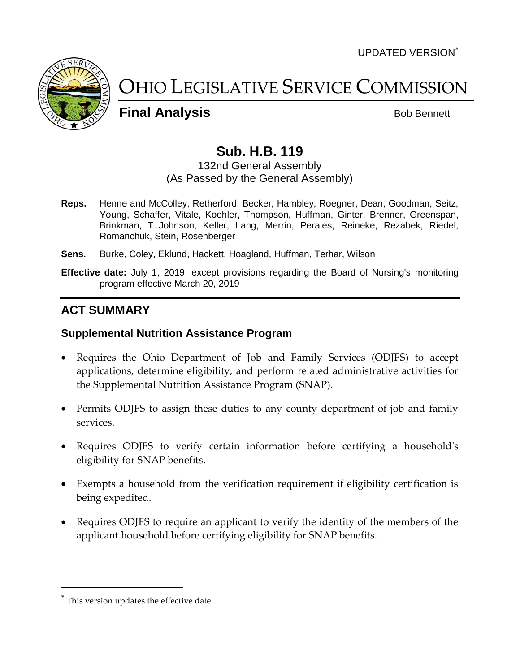UPDATED VERSION



OHIO LEGISLATIVE SERVICE COMMISSION

**Final Analysis** Bob Bennett

# **Sub. H.B. 119**

#### 132nd General Assembly (As Passed by the General Assembly)

- **Reps.** Henne and McColley, Retherford, Becker, Hambley, Roegner, Dean, Goodman, Seitz, Young, Schaffer, Vitale, Koehler, Thompson, Huffman, Ginter, Brenner, Greenspan, Brinkman, T. Johnson, Keller, Lang, Merrin, Perales, Reineke, Rezabek, Riedel, Romanchuk, Stein, Rosenberger
- **Sens.** Burke, Coley, Eklund, Hackett, Hoagland, Huffman, Terhar, Wilson
- **Effective date:** July 1, 2019, except provisions regarding the Board of Nursing's monitoring program effective March 20, 2019

# **ACT SUMMARY**

#### **Supplemental Nutrition Assistance Program**

- Requires the Ohio Department of Job and Family Services (ODJFS) to accept applications, determine eligibility, and perform related administrative activities for the Supplemental Nutrition Assistance Program (SNAP).
- Permits ODJFS to assign these duties to any county department of job and family services.
- Requires ODJFS to verify certain information before certifying a household's eligibility for SNAP benefits.
- Exempts a household from the verification requirement if eligibility certification is being expedited.
- Requires ODJFS to require an applicant to verify the identity of the members of the applicant household before certifying eligibility for SNAP benefits.

This version updates the effective date.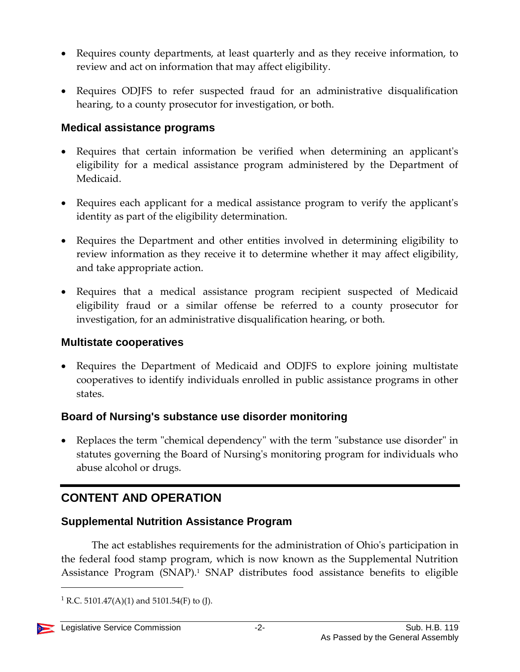- Requires county departments, at least quarterly and as they receive information, to review and act on information that may affect eligibility.
- Requires ODJFS to refer suspected fraud for an administrative disqualification hearing, to a county prosecutor for investigation, or both.

### **Medical assistance programs**

- Requires that certain information be verified when determining an applicant's eligibility for a medical assistance program administered by the Department of Medicaid.
- Requires each applicant for a medical assistance program to verify the applicant's identity as part of the eligibility determination.
- Requires the Department and other entities involved in determining eligibility to review information as they receive it to determine whether it may affect eligibility, and take appropriate action.
- Requires that a medical assistance program recipient suspected of Medicaid eligibility fraud or a similar offense be referred to a county prosecutor for investigation, for an administrative disqualification hearing, or both.

### **Multistate cooperatives**

 Requires the Department of Medicaid and ODJFS to explore joining multistate cooperatives to identify individuals enrolled in public assistance programs in other states.

# **Board of Nursing's substance use disorder monitoring**

 Replaces the term "chemical dependency" with the term "substance use disorder" in statutes governing the Board of Nursing's monitoring program for individuals who abuse alcohol or drugs.

# **CONTENT AND OPERATION**

# **Supplemental Nutrition Assistance Program**

The act establishes requirements for the administration of Ohio's participation in the federal food stamp program, which is now known as the Supplemental Nutrition Assistance Program (SNAP).<sup>1</sup> SNAP distributes food assistance benefits to eligible

<sup>&</sup>lt;sup>1</sup> R.C. 5101.47(A)(1) and 5101.54(F) to (J).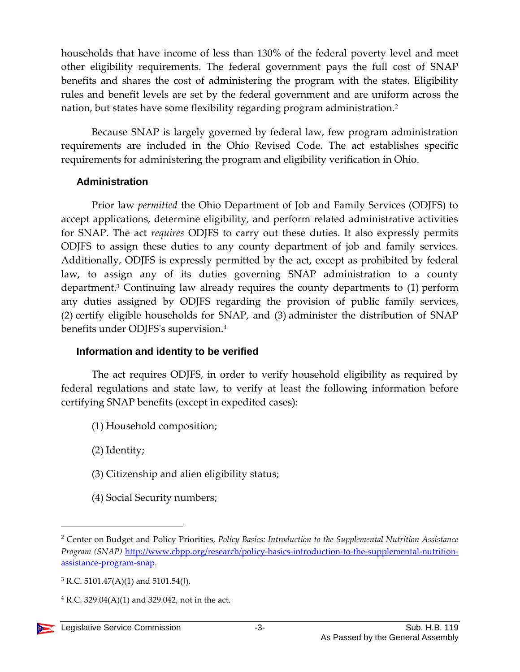households that have income of less than 130% of the federal poverty level and meet other eligibility requirements. The federal government pays the full cost of SNAP benefits and shares the cost of administering the program with the states. Eligibility rules and benefit levels are set by the federal government and are uniform across the nation, but states have some flexibility regarding program administration.<sup>2</sup>

Because SNAP is largely governed by federal law, few program administration requirements are included in the Ohio Revised Code. The act establishes specific requirements for administering the program and eligibility verification in Ohio.

#### **Administration**

Prior law *permitted* the Ohio Department of Job and Family Services (ODJFS) to accept applications, determine eligibility, and perform related administrative activities for SNAP. The act *requires* ODJFS to carry out these duties. It also expressly permits ODJFS to assign these duties to any county department of job and family services. Additionally, ODJFS is expressly permitted by the act, except as prohibited by federal law, to assign any of its duties governing SNAP administration to a county department.<sup>3</sup> Continuing law already requires the county departments to (1) perform any duties assigned by ODJFS regarding the provision of public family services, (2) certify eligible households for SNAP, and (3) administer the distribution of SNAP benefits under ODJFS's supervision.<sup>4</sup>

### **Information and identity to be verified**

The act requires ODJFS, in order to verify household eligibility as required by federal regulations and state law, to verify at least the following information before certifying SNAP benefits (except in expedited cases):

- (1) Household composition;
- (2) Identity;
- (3) Citizenship and alien eligibility status;
- (4) Social Security numbers;

<sup>2</sup> Center on Budget and Policy Priorities, *Policy Basics: Introduction to the Supplemental Nutrition Assistance Program (SNAP)* [http://www.cbpp.org/research/policy-basics-introduction-to-the-supplemental-nutrition](http://www.cbpp.org/research/policy-basics-introduction-to-the-supplemental-nutrition-assistance-program-snap)[assistance-program-snap.](http://www.cbpp.org/research/policy-basics-introduction-to-the-supplemental-nutrition-assistance-program-snap)

 $3$  R.C. 5101.47(A)(1) and 5101.54(J).

 $4$  R.C. 329.04(A)(1) and 329.042, not in the act.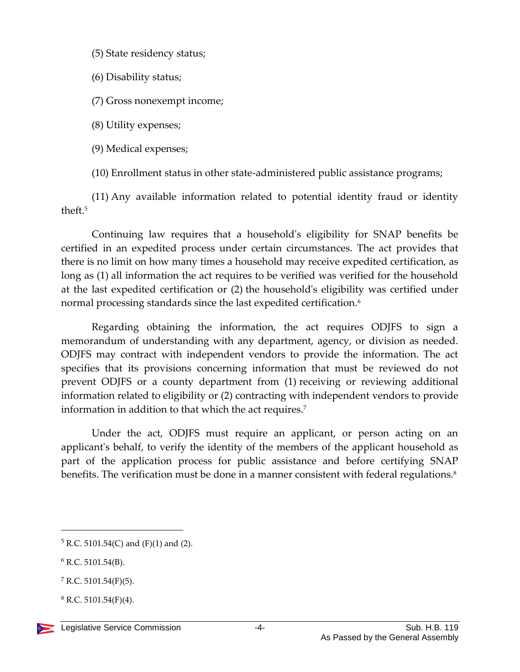- (5) State residency status;
- (6) Disability status;
- (7) Gross nonexempt income;
- (8) Utility expenses;
- (9) Medical expenses;
- (10) Enrollment status in other state-administered public assistance programs;

(11) Any available information related to potential identity fraud or identity theft.<sup>5</sup>

Continuing law requires that a household's eligibility for SNAP benefits be certified in an expedited process under certain circumstances. The act provides that there is no limit on how many times a household may receive expedited certification, as long as (1) all information the act requires to be verified was verified for the household at the last expedited certification or (2) the household's eligibility was certified under normal processing standards since the last expedited certification.<sup>6</sup>

Regarding obtaining the information, the act requires ODJFS to sign a memorandum of understanding with any department, agency, or division as needed. ODJFS may contract with independent vendors to provide the information. The act specifies that its provisions concerning information that must be reviewed do not prevent ODJFS or a county department from (1) receiving or reviewing additional information related to eligibility or (2) contracting with independent vendors to provide information in addition to that which the act requires.<sup>7</sup>

Under the act, ODJFS must require an applicant, or person acting on an applicant's behalf, to verify the identity of the members of the applicant household as part of the application process for public assistance and before certifying SNAP benefits. The verification must be done in a manner consistent with federal regulations.<sup>8</sup>

 $8$  R.C. 5101.54(F)(4).



 $5 R.C. 5101.54(C)$  and (F)(1) and (2).

 $6$  R.C. 5101.54(B).

 $7$  R.C. 5101.54(F)(5).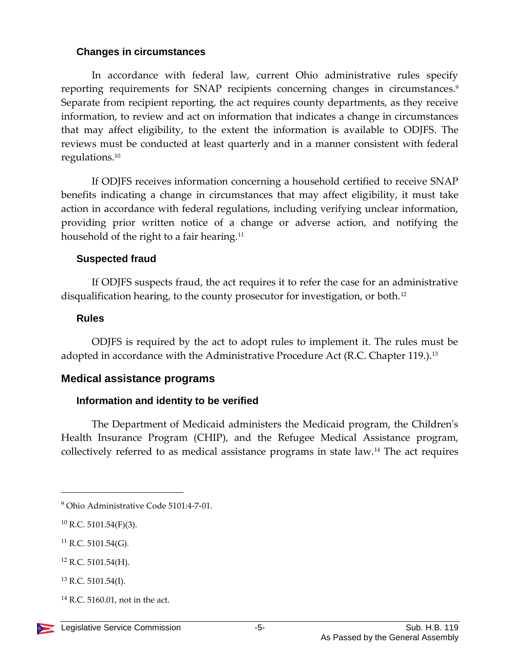#### **Changes in circumstances**

In accordance with federal law, current Ohio administrative rules specify reporting requirements for SNAP recipients concerning changes in circumstances.<sup>9</sup> Separate from recipient reporting, the act requires county departments, as they receive information, to review and act on information that indicates a change in circumstances that may affect eligibility, to the extent the information is available to ODJFS. The reviews must be conducted at least quarterly and in a manner consistent with federal regulations.<sup>10</sup>

If ODJFS receives information concerning a household certified to receive SNAP benefits indicating a change in circumstances that may affect eligibility, it must take action in accordance with federal regulations, including verifying unclear information, providing prior written notice of a change or adverse action, and notifying the household of the right to a fair hearing.<sup>11</sup>

### **Suspected fraud**

If ODJFS suspects fraud, the act requires it to refer the case for an administrative disqualification hearing, to the county prosecutor for investigation, or both.<sup>12</sup>

### **Rules**

ODJFS is required by the act to adopt rules to implement it. The rules must be adopted in accordance with the Administrative Procedure Act (R.C. Chapter 119.).<sup>13</sup>

# **Medical assistance programs**

### **Information and identity to be verified**

The Department of Medicaid administers the Medicaid program, the Children's Health Insurance Program (CHIP), and the Refugee Medical Assistance program, collectively referred to as medical assistance programs in state law.<sup>14</sup> The act requires

 $11$  R.C. 5101.54(G).

- <sup>12</sup> R.C. 5101.54(H).
- $13$  R.C. 5101.54(I).
- $14$  R.C. 5160.01, not in the act.



<sup>9</sup> Ohio Administrative Code 5101:4-7-01.

 $10$  R.C. 5101.54(F)(3).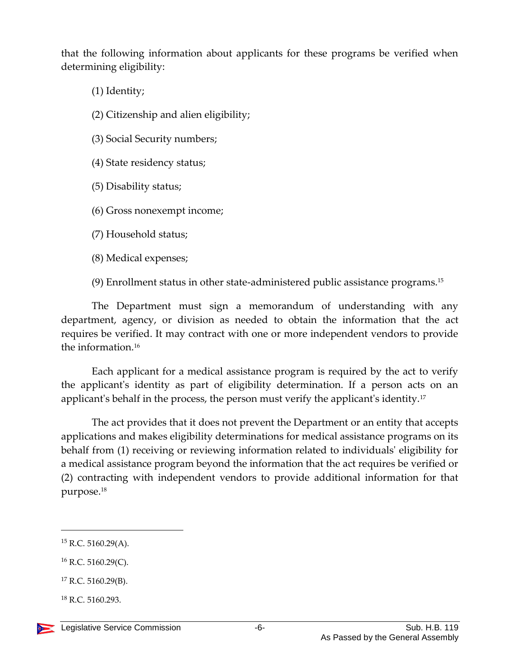that the following information about applicants for these programs be verified when determining eligibility:

(1) Identity;

(2) Citizenship and alien eligibility;

(3) Social Security numbers;

(4) State residency status;

(5) Disability status;

(6) Gross nonexempt income;

(7) Household status;

(8) Medical expenses;

(9) Enrollment status in other state-administered public assistance programs. 15

The Department must sign a memorandum of understanding with any department, agency, or division as needed to obtain the information that the act requires be verified. It may contract with one or more independent vendors to provide the information.<sup>16</sup>

Each applicant for a medical assistance program is required by the act to verify the applicant's identity as part of eligibility determination. If a person acts on an applicant's behalf in the process, the person must verify the applicant's identity.<sup>17</sup>

The act provides that it does not prevent the Department or an entity that accepts applications and makes eligibility determinations for medical assistance programs on its behalf from (1) receiving or reviewing information related to individuals' eligibility for a medical assistance program beyond the information that the act requires be verified or (2) contracting with independent vendors to provide additional information for that purpose.<sup>18</sup>

 $\overline{a}$ 

 $16$  R.C. 5160.29(C).

 $18$  R.C. 5160.293.

 $15$  R.C. 5160.29(A).

<sup>17</sup> R.C. 5160.29(B).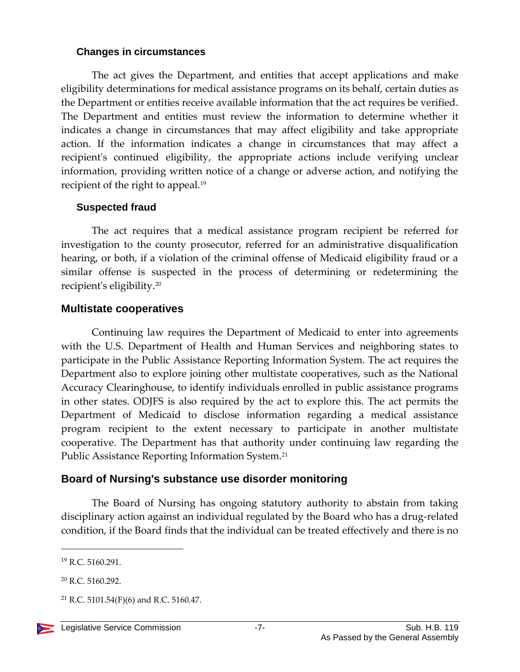#### **Changes in circumstances**

The act gives the Department, and entities that accept applications and make eligibility determinations for medical assistance programs on its behalf, certain duties as the Department or entities receive available information that the act requires be verified. The Department and entities must review the information to determine whether it indicates a change in circumstances that may affect eligibility and take appropriate action. If the information indicates a change in circumstances that may affect a recipient's continued eligibility, the appropriate actions include verifying unclear information, providing written notice of a change or adverse action, and notifying the recipient of the right to appeal.<sup>19</sup>

### **Suspected fraud**

The act requires that a medical assistance program recipient be referred for investigation to the county prosecutor, referred for an administrative disqualification hearing, or both, if a violation of the criminal offense of Medicaid eligibility fraud or a similar offense is suspected in the process of determining or redetermining the recipient's eligibility.<sup>20</sup>

# **Multistate cooperatives**

Continuing law requires the Department of Medicaid to enter into agreements with the U.S. Department of Health and Human Services and neighboring states to participate in the Public Assistance Reporting Information System. The act requires the Department also to explore joining other multistate cooperatives, such as the National Accuracy Clearinghouse, to identify individuals enrolled in public assistance programs in other states. ODJFS is also required by the act to explore this. The act permits the Department of Medicaid to disclose information regarding a medical assistance program recipient to the extent necessary to participate in another multistate cooperative. The Department has that authority under continuing law regarding the Public Assistance Reporting Information System.<sup>21</sup>

# **Board of Nursing's substance use disorder monitoring**

The Board of Nursing has ongoing statutory authority to abstain from taking disciplinary action against an individual regulated by the Board who has a drug-related condition, if the Board finds that the individual can be treated effectively and there is no

<sup>19</sup> R.C. 5160.291.

<sup>20</sup> R.C. 5160.292.

<sup>&</sup>lt;sup>21</sup> R.C. 5101.54(F)(6) and R.C. 5160.47.